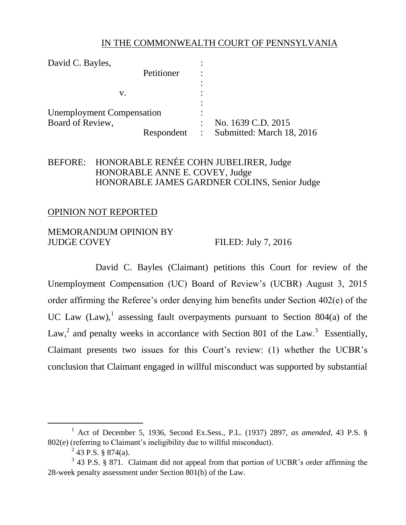## IN THE COMMONWEALTH COURT OF PENNSYLVANIA

| David C. Bayles,                 |            |                |                           |
|----------------------------------|------------|----------------|---------------------------|
|                                  | Petitioner |                |                           |
|                                  |            |                |                           |
| V.                               |            |                |                           |
| <b>Unemployment Compensation</b> |            |                |                           |
| Board of Review,                 |            |                | No. 1639 C.D. 2015        |
|                                  | Respondent | $\ddot{\cdot}$ | Submitted: March 18, 2016 |

## BEFORE: HONORABLE RENÉE COHN JUBELIRER, Judge HONORABLE ANNE E. COVEY, Judge HONORABLE JAMES GARDNER COLINS, Senior Judge

### OPINION NOT REPORTED

#### MEMORANDUM OPINION BY JUDGE COVEY FILED: July 7, 2016

David C. Bayles (Claimant) petitions this Court for review of the Unemployment Compensation (UC) Board of Review's (UCBR) August 3, 2015 order affirming the Referee's order denying him benefits under Section 402(e) of the UC Law  $(Law)$ , assessing fault overpayments pursuant to Section 804(a) of the Law,<sup>2</sup> and penalty weeks in accordance with Section 801 of the Law.<sup>3</sup> Essentially, Claimant presents two issues for this Court's review: (1) whether the UCBR's conclusion that Claimant engaged in willful misconduct was supported by substantial

 $\overline{a}$ 

<sup>1</sup> Act of December 5, 1936, Second Ex.Sess., P.L. (1937) 2897, *as amended*, 43 P.S. § 802(e) (referring to Claimant's ineligibility due to willful misconduct).

<sup>&</sup>lt;sup>2</sup> 43 P.S. § 874(a).

 $3$  43 P.S. § 871. Claimant did not appeal from that portion of UCBR's order affirming the 28-week penalty assessment under Section 801(b) of the Law.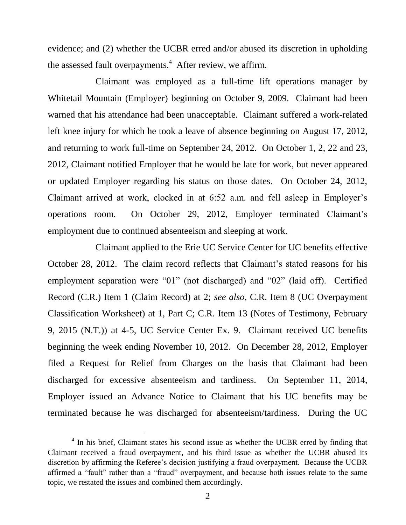evidence; and (2) whether the UCBR erred and/or abused its discretion in upholding the assessed fault overpayments.<sup>4</sup> After review, we affirm.

Claimant was employed as a full-time lift operations manager by Whitetail Mountain (Employer) beginning on October 9, 2009. Claimant had been warned that his attendance had been unacceptable. Claimant suffered a work-related left knee injury for which he took a leave of absence beginning on August 17, 2012, and returning to work full-time on September 24, 2012. On October 1, 2, 22 and 23, 2012, Claimant notified Employer that he would be late for work, but never appeared or updated Employer regarding his status on those dates. On October 24, 2012, Claimant arrived at work, clocked in at 6:52 a.m. and fell asleep in Employer's operations room. On October 29, 2012, Employer terminated Claimant's employment due to continued absenteeism and sleeping at work.

Claimant applied to the Erie UC Service Center for UC benefits effective October 28, 2012. The claim record reflects that Claimant's stated reasons for his employment separation were "01" (not discharged) and "02" (laid off). Certified Record (C.R.) Item 1 (Claim Record) at 2; *see also,* C.R. Item 8 (UC Overpayment Classification Worksheet) at 1, Part C; C.R. Item 13 (Notes of Testimony, February 9, 2015 (N.T.)) at 4-5, UC Service Center Ex. 9. Claimant received UC benefits beginning the week ending November 10, 2012. On December 28, 2012, Employer filed a Request for Relief from Charges on the basis that Claimant had been discharged for excessive absenteeism and tardiness. On September 11, 2014, Employer issued an Advance Notice to Claimant that his UC benefits may be terminated because he was discharged for absenteeism/tardiness. During the UC

 $\overline{a}$ 

<sup>&</sup>lt;sup>4</sup> In his brief, Claimant states his second issue as whether the UCBR erred by finding that Claimant received a fraud overpayment, and his third issue as whether the UCBR abused its discretion by affirming the Referee's decision justifying a fraud overpayment. Because the UCBR affirmed a "fault" rather than a "fraud" overpayment, and because both issues relate to the same topic, we restated the issues and combined them accordingly.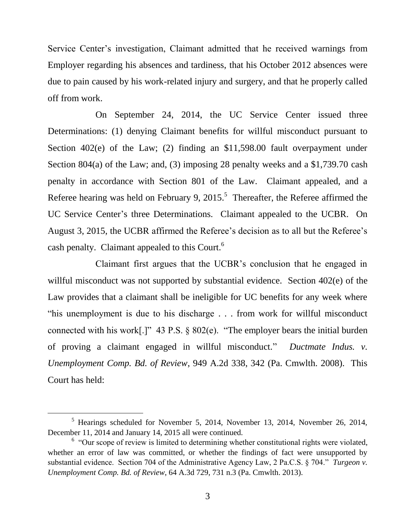Service Center's investigation, Claimant admitted that he received warnings from Employer regarding his absences and tardiness, that his October 2012 absences were due to pain caused by his work-related injury and surgery, and that he properly called off from work.

On September 24, 2014, the UC Service Center issued three Determinations: (1) denying Claimant benefits for willful misconduct pursuant to Section 402(e) of the Law; (2) finding an \$11,598.00 fault overpayment under Section 804(a) of the Law; and, (3) imposing 28 penalty weeks and a \$1,739.70 cash penalty in accordance with Section 801 of the Law. Claimant appealed, and a Referee hearing was held on February 9, 2015.<sup>5</sup> Thereafter, the Referee affirmed the UC Service Center's three Determinations. Claimant appealed to the UCBR. On August 3, 2015, the UCBR affirmed the Referee's decision as to all but the Referee's cash penalty. Claimant appealed to this Court.<sup>6</sup>

Claimant first argues that the UCBR's conclusion that he engaged in willful misconduct was not supported by substantial evidence. Section 402(e) of the Law provides that a claimant shall be ineligible for UC benefits for any week where "his unemployment is due to his discharge . . . from work for willful misconduct connected with his work[.]" 43 P.S. § 802(e). "The employer bears the initial burden of proving a claimant engaged in willful misconduct." *Ductmate Indus. v. Unemployment Comp. Bd. of Review*, 949 A.2d 338, 342 (Pa. Cmwlth. 2008). This Court has held:

 $\overline{a}$ 

<sup>5</sup> Hearings scheduled for November 5, 2014, November 13, 2014, November 26, 2014, December 11, 2014 and January 14, 2015 all were continued.

 $6$  "Our scope of review is limited to determining whether constitutional rights were violated, whether an error of law was committed, or whether the findings of fact were unsupported by substantial evidence. Section 704 of the Administrative Agency Law, 2 Pa.C.S. § 704." *Turgeon v. Unemployment Comp. Bd. of Review*, 64 A.3d 729, 731 n.3 (Pa. Cmwlth. 2013).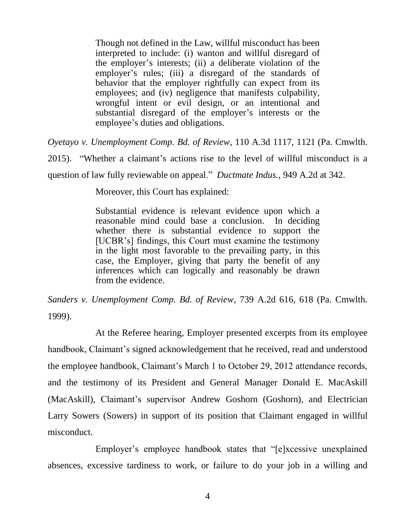Though not defined in the Law, willful misconduct has been interpreted to include: (i) wanton and willful disregard of the employer's interests; (ii) a deliberate violation of the employer's rules; (iii) a disregard of the standards of behavior that the employer rightfully can expect from its employees; and (iv) negligence that manifests culpability, wrongful intent or evil design, or an intentional and substantial disregard of the employer's interests or the employee's duties and obligations.

*Oyetayo v. Unemployment Comp. Bd. of Review*, 110 A.3d 1117, 1121 (Pa. Cmwlth.

2015). "Whether a claimant's actions rise to the level of willful misconduct is a

question of law fully reviewable on appeal." *Ductmate Indus.*, 949 A.2d at 342.

Moreover, this Court has explained:

Substantial evidence is relevant evidence upon which a reasonable mind could base a conclusion. In deciding whether there is substantial evidence to support the [UCBR's] findings, this Court must examine the testimony in the light most favorable to the prevailing party, in this case, the Employer, giving that party the benefit of any inferences which can logically and reasonably be drawn from the evidence.

*Sanders v. Unemployment Comp. Bd. of Review*, 739 A.2d 616, 618 (Pa. Cmwlth. 1999).

At the Referee hearing, Employer presented excerpts from its employee handbook, Claimant's signed acknowledgement that he received, read and understood the employee handbook, Claimant's March 1 to October 29, 2012 attendance records, and the testimony of its President and General Manager Donald E. MacAskill (MacAskill), Claimant's supervisor Andrew Goshorn (Goshorn), and Electrician Larry Sowers (Sowers) in support of its position that Claimant engaged in willful misconduct.

Employer's employee handbook states that "[e]xcessive unexplained absences, excessive tardiness to work, or failure to do your job in a willing and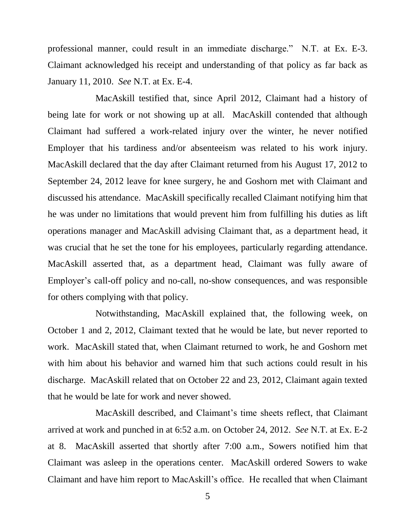professional manner, could result in an immediate discharge." N.T. at Ex. E-3. Claimant acknowledged his receipt and understanding of that policy as far back as January 11, 2010. *See* N.T. at Ex. E-4.

MacAskill testified that, since April 2012, Claimant had a history of being late for work or not showing up at all. MacAskill contended that although Claimant had suffered a work-related injury over the winter, he never notified Employer that his tardiness and/or absenteeism was related to his work injury. MacAskill declared that the day after Claimant returned from his August 17, 2012 to September 24, 2012 leave for knee surgery, he and Goshorn met with Claimant and discussed his attendance. MacAskill specifically recalled Claimant notifying him that he was under no limitations that would prevent him from fulfilling his duties as lift operations manager and MacAskill advising Claimant that, as a department head, it was crucial that he set the tone for his employees, particularly regarding attendance. MacAskill asserted that, as a department head, Claimant was fully aware of Employer's call-off policy and no-call, no-show consequences, and was responsible for others complying with that policy.

Notwithstanding, MacAskill explained that, the following week, on October 1 and 2, 2012, Claimant texted that he would be late, but never reported to work. MacAskill stated that, when Claimant returned to work, he and Goshorn met with him about his behavior and warned him that such actions could result in his discharge. MacAskill related that on October 22 and 23, 2012, Claimant again texted that he would be late for work and never showed.

MacAskill described, and Claimant's time sheets reflect, that Claimant arrived at work and punched in at 6:52 a.m. on October 24, 2012. *See* N.T. at Ex. E-2 at 8. MacAskill asserted that shortly after 7:00 a.m., Sowers notified him that Claimant was asleep in the operations center. MacAskill ordered Sowers to wake Claimant and have him report to MacAskill's office. He recalled that when Claimant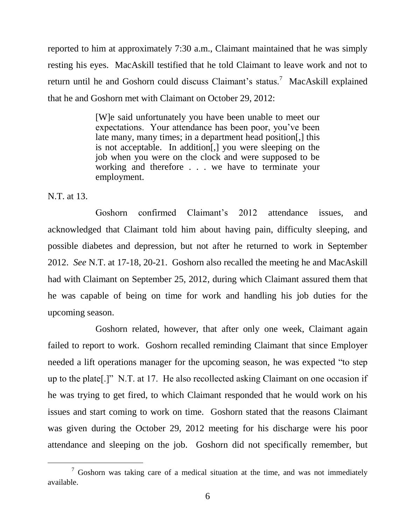reported to him at approximately 7:30 a.m., Claimant maintained that he was simply resting his eyes. MacAskill testified that he told Claimant to leave work and not to return until he and Goshorn could discuss Claimant's status.<sup>7</sup> MacAskill explained that he and Goshorn met with Claimant on October 29, 2012:

> [W]e said unfortunately you have been unable to meet our expectations. Your attendance has been poor, you've been late many, many times; in a department head position[,] this is not acceptable. In addition[,] you were sleeping on the job when you were on the clock and were supposed to be working and therefore . . . we have to terminate your employment.

N.T. at 13.

 $\overline{a}$ 

Goshorn confirmed Claimant's 2012 attendance issues, and acknowledged that Claimant told him about having pain, difficulty sleeping, and possible diabetes and depression, but not after he returned to work in September 2012. *See* N.T. at 17-18, 20-21. Goshorn also recalled the meeting he and MacAskill had with Claimant on September 25, 2012, during which Claimant assured them that he was capable of being on time for work and handling his job duties for the upcoming season.

Goshorn related, however, that after only one week, Claimant again failed to report to work. Goshorn recalled reminding Claimant that since Employer needed a lift operations manager for the upcoming season, he was expected "to step up to the plate[.]" N.T. at 17. He also recollected asking Claimant on one occasion if he was trying to get fired, to which Claimant responded that he would work on his issues and start coming to work on time. Goshorn stated that the reasons Claimant was given during the October 29, 2012 meeting for his discharge were his poor attendance and sleeping on the job. Goshorn did not specifically remember, but

 $\frac{7}{7}$  Goshorn was taking care of a medical situation at the time, and was not immediately available.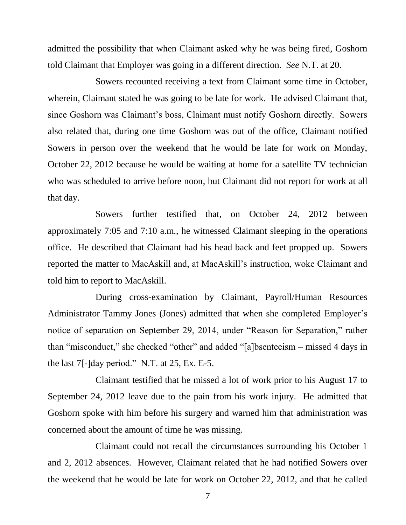admitted the possibility that when Claimant asked why he was being fired, Goshorn told Claimant that Employer was going in a different direction. *See* N.T. at 20.

Sowers recounted receiving a text from Claimant some time in October, wherein, Claimant stated he was going to be late for work. He advised Claimant that, since Goshorn was Claimant's boss, Claimant must notify Goshorn directly. Sowers also related that, during one time Goshorn was out of the office, Claimant notified Sowers in person over the weekend that he would be late for work on Monday, October 22, 2012 because he would be waiting at home for a satellite TV technician who was scheduled to arrive before noon, but Claimant did not report for work at all that day.

Sowers further testified that, on October 24, 2012 between approximately 7:05 and 7:10 a.m., he witnessed Claimant sleeping in the operations office. He described that Claimant had his head back and feet propped up. Sowers reported the matter to MacAskill and, at MacAskill's instruction, woke Claimant and told him to report to MacAskill.

During cross-examination by Claimant, Payroll/Human Resources Administrator Tammy Jones (Jones) admitted that when she completed Employer's notice of separation on September 29, 2014, under "Reason for Separation," rather than "misconduct," she checked "other" and added "[a]bsenteeism – missed 4 days in the last 7[-]day period." N.T. at 25, Ex. E-5.

Claimant testified that he missed a lot of work prior to his August 17 to September 24, 2012 leave due to the pain from his work injury. He admitted that Goshorn spoke with him before his surgery and warned him that administration was concerned about the amount of time he was missing.

Claimant could not recall the circumstances surrounding his October 1 and 2, 2012 absences. However, Claimant related that he had notified Sowers over the weekend that he would be late for work on October 22, 2012, and that he called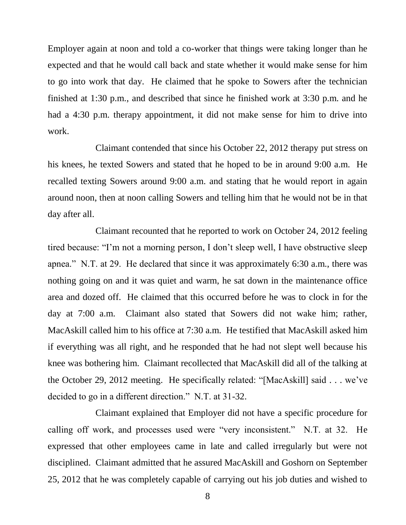Employer again at noon and told a co-worker that things were taking longer than he expected and that he would call back and state whether it would make sense for him to go into work that day. He claimed that he spoke to Sowers after the technician finished at 1:30 p.m., and described that since he finished work at 3:30 p.m. and he had a 4:30 p.m. therapy appointment, it did not make sense for him to drive into work.

Claimant contended that since his October 22, 2012 therapy put stress on his knees, he texted Sowers and stated that he hoped to be in around 9:00 a.m. He recalled texting Sowers around 9:00 a.m. and stating that he would report in again around noon, then at noon calling Sowers and telling him that he would not be in that day after all.

Claimant recounted that he reported to work on October 24, 2012 feeling tired because: "I'm not a morning person, I don't sleep well, I have obstructive sleep apnea." N.T. at 29. He declared that since it was approximately 6:30 a.m., there was nothing going on and it was quiet and warm, he sat down in the maintenance office area and dozed off. He claimed that this occurred before he was to clock in for the day at 7:00 a.m. Claimant also stated that Sowers did not wake him; rather, MacAskill called him to his office at 7:30 a.m. He testified that MacAskill asked him if everything was all right, and he responded that he had not slept well because his knee was bothering him. Claimant recollected that MacAskill did all of the talking at the October 29, 2012 meeting. He specifically related: "[MacAskill] said . . . we've decided to go in a different direction." N.T. at 31-32.

Claimant explained that Employer did not have a specific procedure for calling off work, and processes used were "very inconsistent." N.T. at 32. He expressed that other employees came in late and called irregularly but were not disciplined. Claimant admitted that he assured MacAskill and Goshorn on September 25, 2012 that he was completely capable of carrying out his job duties and wished to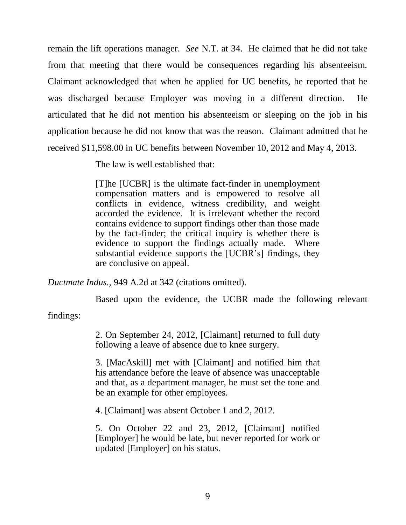remain the lift operations manager. *See* N.T. at 34. He claimed that he did not take from that meeting that there would be consequences regarding his absenteeism. Claimant acknowledged that when he applied for UC benefits, he reported that he was discharged because Employer was moving in a different direction. He articulated that he did not mention his absenteeism or sleeping on the job in his application because he did not know that was the reason. Claimant admitted that he received \$11,598.00 in UC benefits between November 10, 2012 and May 4, 2013.

The law is well established that:

[T]he [UCBR] is the ultimate fact-finder in unemployment compensation matters and is empowered to resolve all conflicts in evidence, witness credibility, and weight accorded the evidence. It is irrelevant whether the record contains evidence to support findings other than those made by the fact-finder; the critical inquiry is whether there is evidence to support the findings actually made. Where substantial evidence supports the [UCBR's] findings, they are conclusive on appeal.

*Ductmate Indus.,* 949 A.2d at 342 (citations omitted).

Based upon the evidence, the UCBR made the following relevant

findings:

2. On September 24, 2012, [Claimant] returned to full duty following a leave of absence due to knee surgery.

3. [MacAskill] met with [Claimant] and notified him that his attendance before the leave of absence was unacceptable and that, as a department manager, he must set the tone and be an example for other employees.

4. [Claimant] was absent October 1 and 2, 2012.

5. On October 22 and 23, 2012, [Claimant] notified [Employer] he would be late, but never reported for work or updated [Employer] on his status.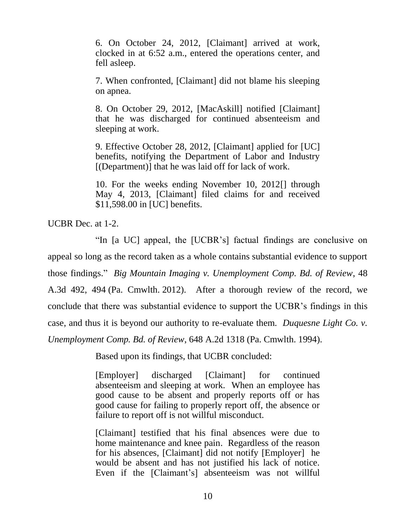6. On October 24, 2012, [Claimant] arrived at work, clocked in at 6:52 a.m., entered the operations center, and fell asleep.

7. When confronted, [Claimant] did not blame his sleeping on apnea.

8. On October 29, 2012, [MacAskill] notified [Claimant] that he was discharged for continued absenteeism and sleeping at work.

9. Effective October 28, 2012, [Claimant] applied for [UC] benefits, notifying the Department of Labor and Industry [(Department)] that he was laid off for lack of work.

10. For the weeks ending November 10, 2012[] through May 4, 2013, [Claimant] filed claims for and received \$11,598.00 in [UC] benefits.

UCBR Dec. at 1-2.

"In [a UC] appeal, the [UCBR's] factual findings are conclusive on appeal so long as the record taken as a whole contains substantial evidence to support those findings." *Big Mountain Imaging v. Unemployment Comp. Bd. of Review*, 48 A.3d 492, 494 (Pa. Cmwlth. 2012). After a thorough review of the record, we conclude that there was substantial evidence to support the UCBR's findings in this case, and thus it is beyond our authority to re-evaluate them. *Duquesne Light Co. v. Unemployment Comp. Bd. of Review*, 648 A.2d 1318 (Pa. Cmwlth. 1994).

Based upon its findings, that UCBR concluded:

[Employer] discharged [Claimant] for continued absenteeism and sleeping at work. When an employee has good cause to be absent and properly reports off or has good cause for failing to properly report off, the absence or failure to report off is not willful misconduct.

[Claimant] testified that his final absences were due to home maintenance and knee pain. Regardless of the reason for his absences, [Claimant] did not notify [Employer] he would be absent and has not justified his lack of notice. Even if the [Claimant's] absenteeism was not willful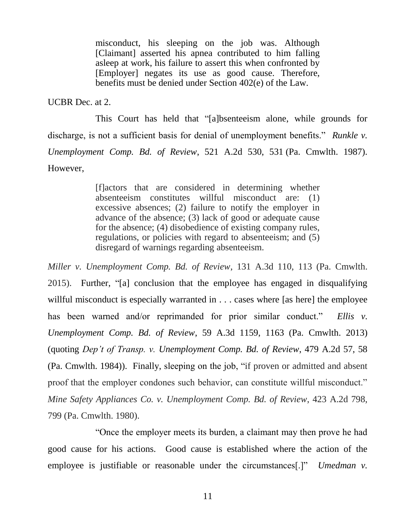misconduct, his sleeping on the job was. Although [Claimant] asserted his apnea contributed to him falling asleep at work, his failure to assert this when confronted by [Employer] negates its use as good cause. Therefore, benefits must be denied under Section 402(e) of the Law.

UCBR Dec. at 2.

This Court has held that "[a]bsenteeism alone, while grounds for discharge, is not a sufficient basis for denial of unemployment benefits." *Runkle v. Unemployment Comp. Bd. of Review*, 521 A.2d 530, 531 (Pa. Cmwlth. 1987). However,

> [f]actors that are considered in determining whether absenteeism constitutes willful misconduct are: (1) excessive absences; (2) failure to notify the employer in advance of the absence; (3) lack of good or adequate cause for the absence; (4) disobedience of existing company rules, regulations, or policies with regard to absenteeism; and (5) disregard of warnings regarding absenteeism.

*Miller v. Unemployment Comp. Bd. of Review*, 131 A.3d 110, 113 (Pa. Cmwlth. 2015). Further, "[a] conclusion that the employee has engaged in disqualifying willful misconduct is especially warranted in . . . cases where [as here] the employee has been warned and/or reprimanded for prior similar conduct." *Ellis v. Unemployment Comp. Bd. of Review*, 59 A.3d 1159, 1163 (Pa. Cmwlth. 2013) (quoting *Dep't of Transp. v. Unemployment Comp. Bd. of Review*, 479 A.2d 57, 58 (Pa. Cmwlth. 1984)). Finally, sleeping on the job, "if proven or admitted and absent proof that the employer condones such behavior, can constitute willful misconduct." *Mine Safety Appliances Co. v. Unemployment Comp. Bd. of Review*, 423 A.2d 798, 799 (Pa. Cmwlth. 1980).

"Once the employer meets its burden, a claimant may then prove he had good cause for his actions. Good cause is established where the action of the employee is justifiable or reasonable under the circumstances<sup>[1]</sup> *Umedman v.*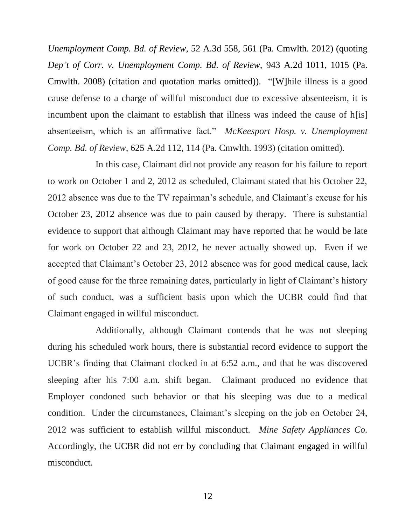*Unemployment Comp. Bd. of Review*, 52 A.3d 558, 561 (Pa. Cmwlth. 2012) (quoting *Dep't of Corr. v. Unemployment Comp. Bd. of Review,* 943 A.2d 1011, 1015 (Pa. Cmwlth. 2008) (citation and quotation marks omitted)). "[W]hile illness is a good cause defense to a charge of willful misconduct due to excessive absenteeism, it is incumbent upon the claimant to establish that illness was indeed the cause of h[is] absenteeism, which is an affirmative fact." *McKeesport Hosp. v. Unemployment Comp. Bd. of Review*, 625 A.2d 112, 114 (Pa. Cmwlth. 1993) (citation omitted).

In this case, Claimant did not provide any reason for his failure to report to work on October 1 and 2, 2012 as scheduled, Claimant stated that his October 22, 2012 absence was due to the TV repairman's schedule, and Claimant's excuse for his October 23, 2012 absence was due to pain caused by therapy. There is substantial evidence to support that although Claimant may have reported that he would be late for work on October 22 and 23, 2012, he never actually showed up. Even if we accepted that Claimant's October 23, 2012 absence was for good medical cause, lack of good cause for the three remaining dates, particularly in light of Claimant's history of such conduct, was a sufficient basis upon which the UCBR could find that Claimant engaged in willful misconduct.

Additionally, although Claimant contends that he was not sleeping during his scheduled work hours, there is substantial record evidence to support the UCBR's finding that Claimant clocked in at 6:52 a.m., and that he was discovered sleeping after his 7:00 a.m. shift began. Claimant produced no evidence that Employer condoned such behavior or that his sleeping was due to a medical condition. Under the circumstances, Claimant's sleeping on the job on October 24, 2012 was sufficient to establish willful misconduct. *Mine Safety Appliances Co.*  Accordingly, the UCBR did not err by concluding that Claimant engaged in willful misconduct.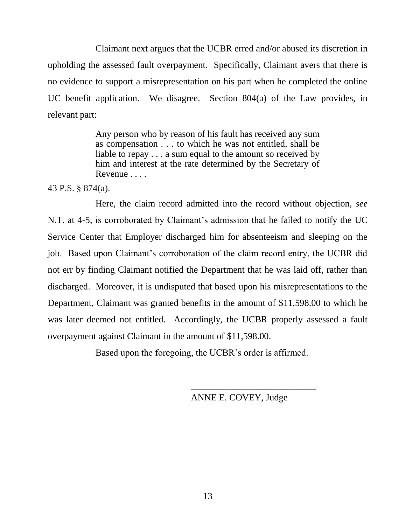Claimant next argues that the UCBR erred and/or abused its discretion in upholding the assessed fault overpayment. Specifically, Claimant avers that there is no evidence to support a misrepresentation on his part when he completed the online UC benefit application. We disagree. Section 804(a) of the Law provides, in relevant part:

> Any person who by reason of his fault has received any sum as compensation . . . to which he was not entitled, shall be liable to repay . . . a sum equal to the amount so received by him and interest at the rate determined by the Secretary of Revenue . . . .

43 P.S. § 874(a).

Here, the claim record admitted into the record without objection, *see* N.T. at 4-5, is corroborated by Claimant's admission that he failed to notify the UC Service Center that Employer discharged him for absenteeism and sleeping on the job. Based upon Claimant's corroboration of the claim record entry, the UCBR did not err by finding Claimant notified the Department that he was laid off, rather than discharged. Moreover, it is undisputed that based upon his misrepresentations to the Department, Claimant was granted benefits in the amount of \$11,598.00 to which he was later deemed not entitled. Accordingly, the UCBR properly assessed a fault overpayment against Claimant in the amount of \$11,598.00.

Based upon the foregoing, the UCBR's order is affirmed.

ANNE E. COVEY, Judge

**\_\_\_\_\_\_\_\_\_\_\_\_\_\_\_\_\_\_\_\_\_\_\_\_\_\_\_**